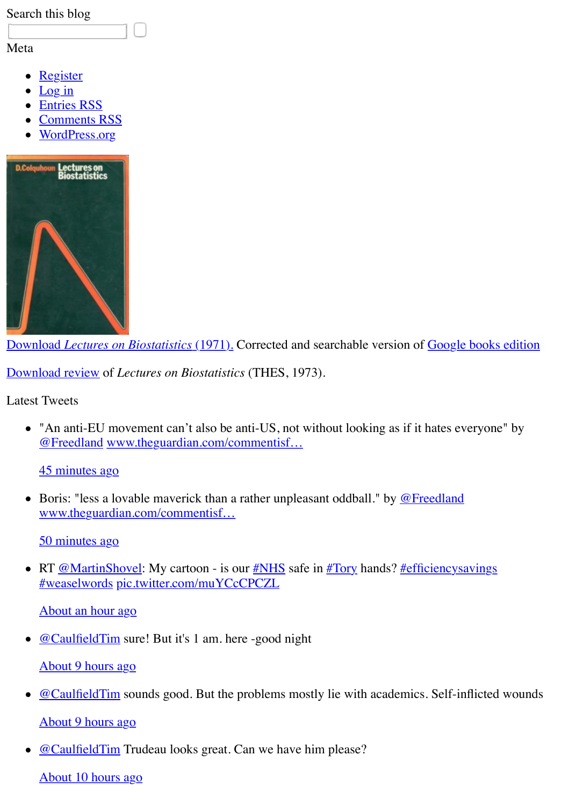

Download *Lectures on Biostatistics* (1971). Corrected and searchable version of Google books

Download review of *Lectures on Biostatistics* (THES, 1973).

Latest Tweets

 $\bullet$  ["An anti-EU movement can't also be](http://www.dcscience.net/Lectures_on_biostatistics-ocr4.pdf) anti-US, not without looking as if it hates everyone @Freedland www.theguardian.com/commentisf…

45 minutes ago

• Boris: "less a lovable maverick than a rather unpleasant oddball." by  $@$  Fr[eedland](http://books.google.co.uk/books?id=WdlfAAAAMAAJ&printsec=frontcover&dq=Lectures+on+biostatistics&hl=en&ei=cev5TbvDIYqWhQf1m62MAw&sa=X&oi=book_result&ct=result&resnum=1&ved=0CDYQ6AEwAA#v=onepage&q&f=false) www.theguardian.com/commentisf…

[50 minutes](http://www.dcscience.net/LOB-THES.pdf) ago

• RT **@MartinShovel**: My cartoon - is our **#NHS** safe in **#Tory hands**? **#efficiencysavings** #weaselwords pic.twitter.com/muYCcCPCZL

[About an ho](https://twitter.com/Freedland)[ur ago](http://www.theguardian.com/commentisfree/2016/apr/22/barack-obama-crush-brexit-fantasy-eu-referendum)

[@CaulfieldTim](http://twitter.com/david_colquhoun/status/723804036676378624) sure! But it's 1 am. here -good night

[About 9 hours ago](http://www.theguardian.com/commentisfree/2016/apr/22/barack-obama-crush-brexit-fantasy-eu-referendum)

- $\omega$ CaulfieldTim sounds good. But the problems mostly lie with academics. Self-inflicted Ab[out 9 hours ago](https://twitter.com/MartinShovel)
- [@CaulfieldTi](https://twitter.com/search?q=%23weaselwords&src=hash)[m Trudeau looks great. Can we h](https://pic.twitter.com/muYCcCPCZL)ave him please?

[About 10 hours ago](http://twitter.com/david_colquhoun/status/723796019801120768)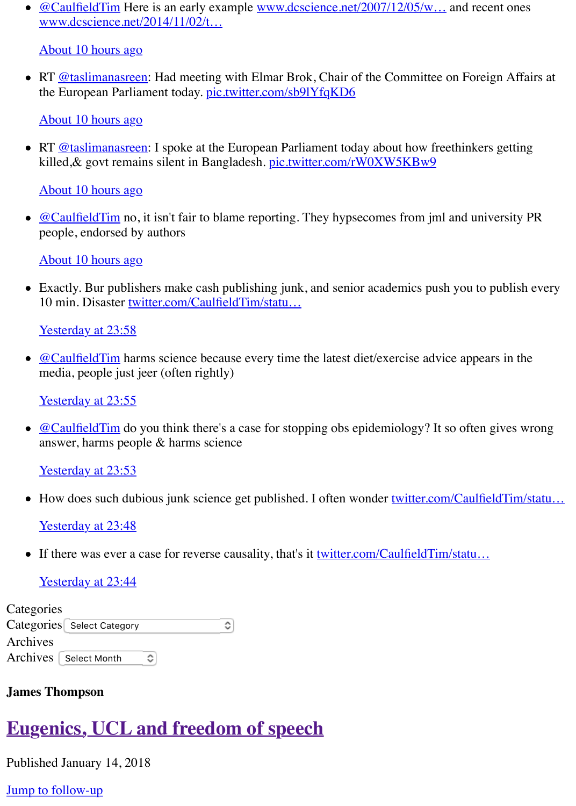[killed,& govt re](https://twitter.com/CaulfieldTim)mains silent in Bangladesh. <u>pic.twitter.com/rW0XW5KBw9</u>

[About 10 hours ago](http://www.dcscience.net/2014/11/02/two-more-cases-of-hype-in-glamour-journals-magnets-cocoa-and-memory/)

 $\omega$ CaulfieldTim no, it isn't fair to blame reporting. They hypsecomes from jml and unive pe[ople, endorsed by a](https://twitter.com/taslimanasreen)uthors

About 10 hours ago

• [Exactly. Bur publish](http://twitter.com/david_colquhoun/status/723662996581572608)ers make cash publishing junk, and senior academics push you to pu 10 [min. Disaster twit](https://twitter.com/taslimanasreen)ter.com/CaulfieldTim/statu…

Yesterday at 23:58

 $\bullet$  [@CaulfieldTim harm](http://twitter.com/david_colquhoun/status/723662902843023360)s science because every time the latest diet/exercise advice appears [media, people ju](https://twitter.com/CaulfieldTim)st jeer (often rightly)

Yesterday at 23:55

 $\bullet$  [@CaulfieldTim do y](http://twitter.com/david_colquhoun/status/723662739315515394)ou think there's a case for stopping obs epidemiology? It so often gives answer, harms people & harms science

Yesterday at 23:[53](https://twitter.com/CaulfieldTim/status/723660791526883328)

• How does such dubious junk science get published. I often wonder twitter.com/Caulfield

[Yesterday at 23:](https://twitter.com/CaulfieldTim)48

• [If there was ever a](http://twitter.com/david_colquhoun/status/723661455959199744) case for reverse causality, that's it <u>twitter.com/CaulfieldTim/statu...</u>

[Yesterday at 23:](https://twitter.com/CaulfieldTim)44

| Categories                 |                         |  |
|----------------------------|-------------------------|--|
| Categories Select Category |                         |  |
| Archives                   |                         |  |
|                            | Archives   Select Month |  |

#### **Jame[s Thompson](http://twitter.com/david_colquhoun/status/723659823141818369)**

# **Eu[genics, UCL](http://twitter.com/david_colquhoun/status/723658792009883648) and freedom of speec[h](https://twitter.com/CaulfieldTim/status/723658356607586304)**

Published January 14, 2018

Jump to follow-up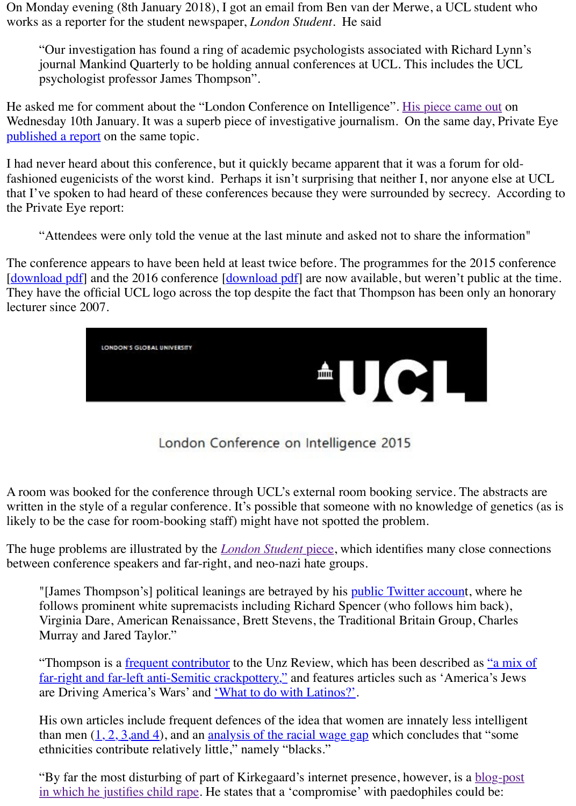I had never heard about this conference, but it quickly became apparent that it was a forum for fashioned eugenicists of the worst kind. Perhaps it isn't surprising that neither I, nor anyone el that I've spoken to had heard of these conferences because they were surrounded by secrecy. the Private Eye report:

"Attendees were only told the venue at the last minute and asked not to share the inform

The conference appears to have been held at least twice before. The programmes for the 2015 [download pdf] and the 2016 conference [download pdf] are now available, but weren't public [They have the offi](http://www.dcscience.net/Private-eye-thompson-2018-01-10.pdf)cial UCL logo across the top despite the fact that Thompson has been only a lecturer since 2007.



London Conference on Intelligence 2015

A room was booked for the conference through UCL's external room booking service. The abs written in the style of a regular conference. It's possible that someone with no knowledge of go likely to be the case for room-booking staff) might have not spotted the problem.

The huge problems are illustrated by the *London Student* piece, which identifies many close connections of between conference speakers and far-right, and neo-nazi hate groups.

"[James Thompson's] political leanings are betrayed by his public Twitter account, when follows prominent white supremacists including Richard Spencer (who follows him back Virginia Dare, American Renaissance, Brett Stevens, the Traditional Britain Group, Cha Murray and Jared Taylor."

"Thompson is a frequent contributor to the Unz Review, which has been described as "a far-right and far-left anti-Semitic crackpottery," and features articles such as 'America's are Driving America's Wars' and 'What to do with Latinos?'.

His own articles include frequent [defences of the idea tha](http://londonstudent.coop/news/2018/01/10/exposed-london-eugenics-conferences-neo-nazi-links/)t women are innately less intell than men  $(1, 2, 3,$  and 4), and an analysis of the racial wage gap which concludes that "some ethnicities contribute relatively little," namely "blacks."

"By far the most disturbing of part of Kirkegaard's internet presence, however, is a blogin which he justifies child rape. He states that a 'compromise' with paedophiles could be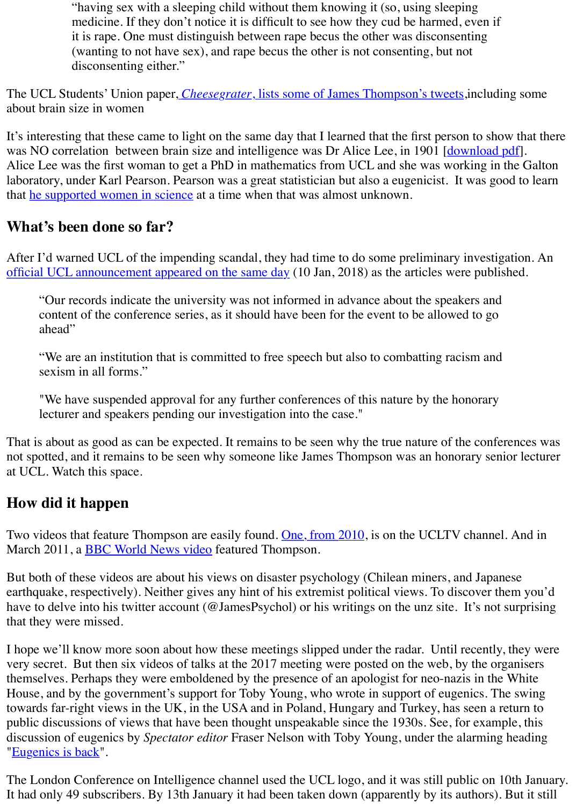Alice Lee was the first woman to get a PhD in mathematics from UCL and she was working in laboratory, under Karl Pearson. Pearson was a great statistician but also a eugenicist. It was go that he supported women in science at a time when that was almost unknown.

### **What's been done so far?**

After I'd warned UCL of the im[pending scandal, they had time to do some preliminary i](http://cheesegratermagazine.org/2018/01/10/read-shocking-sexist-racist-tweets-ucl-professor-host-eugenics-conference/)nvestigation. official UCL announcement appeared on the same day (10 Jan, 2018) as the articles were public

"Our records indicate the university was not informed in advance about the speakers and content of the conference series, as it should have been for the event to be all[owed to go](http://rsta.royalsocietypublishing.org/content/roypta/196/274-286/225.full.pdf) ahead"

["We are an institution that is c](https://blogs.royalsociety.org/publishing/from-the-archives-alice-lees-cranial-capacity/)ommitted to free speech but also to combatting racism and sexism in all forms."

"We have suspended approval for any further conferences of this nature by the honorary lecturer and speakers pending our investigation into the case."

[That is about as good as can be expected. It remains to](http://www.ucl.ac.uk/news/news-articles/1009/10090101) be seen why the true nature of the conference not spotted, and it remains to be seen why someone like James Thompson was an honorary sen at UCL. Watch this space.

# **How did it happen**

Two videos that feature Thompson are easily found. One, from 2010, is on the UCLTV channel March 2011, a **BBC World News video** featured Thompson.

But both of these videos are about his views on disaster psychology (Chilean miners, and Japanese earthquake, respectively). Neither gives any hint of his extremist political views. To discover them you'd beam you'd all them you'd all them you'd all them you'd all them you'd all them you'd all them you'd all them you'd have to delve into his twitter account (@JamesPsychol) or his writings on the unz site. It's not that they were missed.

I hope we'll know more soon about how these meetings slipped under the radar. Until recently very secret. But then six videos of talks at the 2017 meeting were posted on the web, by the organisers themselves. Perhaps they were emboldened by the presence of an apologist for neo-nazis in the House, and by the government's support for Toby Y[oung, who wrote](http://www.ucl.ac.uk/news/news-articles/1009/10090101) in support of eugenics. The swing H towards far-rig[ht views in the UK, in th](https://www.youtube.com/watch?v=08lZza5Ypkg)e USA and in Poland, Hungary and Turkey, has seen a public discussions of views that have been thought unspeakable since the 1930s. See, for exam discussion of eugenics by *Spectator editor* Fraser Nelson with Toby Young, under the alarming "Eugenics is back".

The London Conference on Intelligence channel used the UCL logo, and it was still public on It had only 49 subscribers. By 13th January it had been taken down (apparently by its authors).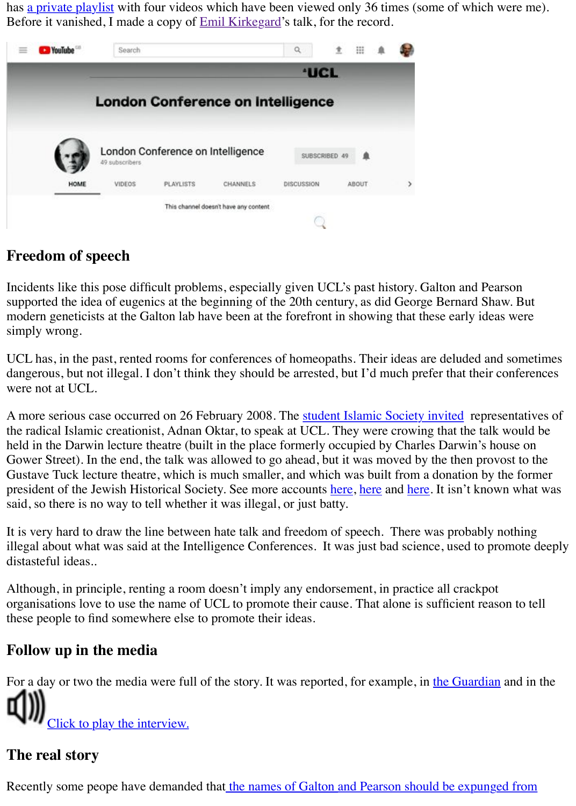|      | subscribers |                                                     |                                       |            |       |  |
|------|-------------|-----------------------------------------------------|---------------------------------------|------------|-------|--|
| HOME | VIDEOS      | PLAYLISTS                                           | CHANNELS                              | DISCUSSION | ABOUT |  |
|      |             | 10, SOU 우리 1050 UNITED AT 2012 TO PAY AT THE OUTLIN | This channel doesn't have any content |            |       |  |
|      |             |                                                     |                                       |            |       |  |

### **Freedom of speech**

[Incidents like this pose difficult problems, especially given UCL's past history.](https://www.youtube.com/channel/UC1yUl8jQY7D7gT3ULh_Kslg) Galton and Pearson supported the idea of eugenics at the beginning of the 20th century, as did George Bernard Sha modern geneticists at the Galton lab have been at the forefront in showing that these early idea simply wrong.

UCL has, in the past, rented rooms for conferences of homeopaths. Their ideas are deluded and dangerous, but not illegal. I don't think they should be arrested, but I'd much prefer that their or were not at UCL.

A more serious case occurred on 26 February 2008. The student Islamic Society invited repres the radical Islamic creationist, Adnan Oktar, to speak at UCL. They were crowing that the talk held in the Darwin lecture theatre (built in the place formerly occupied by Charles Darwin's ho Gower Street). In the end, the talk was allowed to go ahead, but it was moved by the then prov Gustave Tuck lecture theatre, which is much smaller, and which was built from a donation by the Gustave president of the Jewish Historical Society. See more accounts here, here and here. It isn't know said, so there is no way to tell whether it was illegal, or just batty.

It is very hard to draw the line between hate talk and freedom of speech. There was probably nothing illegal about what was said at the Intelligence Conferences. It was just bad science, used to pr distasteful ideas..

Although, in principle, renting a room doesn't imply any endorsement, in practice all crackpot organisations love to use the name of UCL to promote their cause. That alone is sufficient reas these people to find somewhere else to promote their ideas.

### **Follow up in the media**

For a day or two the media were full of the story. It was reported, for example, in the Guardian <u>Click to play the interview.</u>

# **The real story**

<span id="page-4-0"></span>Recently some peope have demanded that the names of Galton and Pearson should be expunged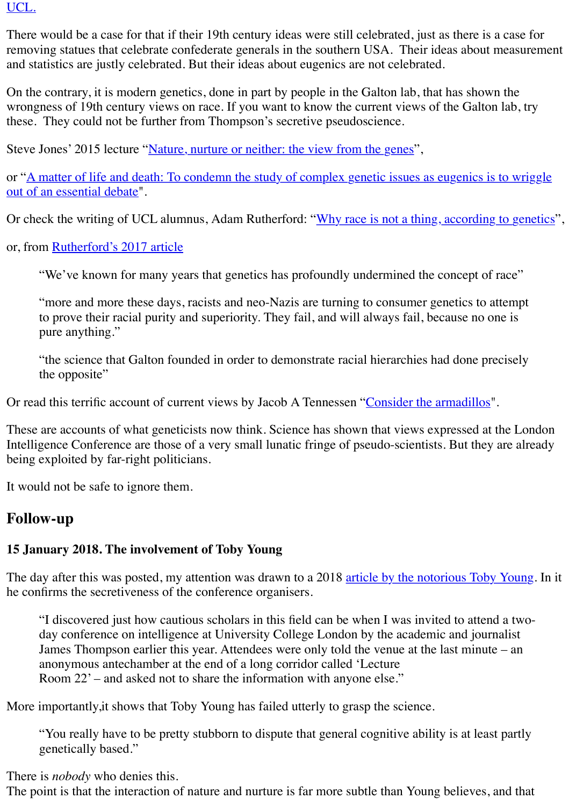or "A matter of life and death: To condemn the study of complex genetic issues as eugenics is out of an essential debate".

Or check the writing of UCL alumnus, Adam Rutherford: "Why race is not a thing, according

or, from Rutherford's 2017 article

"We've known for many years that genetics has profoundly undermined the concept of r

"more and more thes[e days, racists and neo-Nazis are turning to consum](https://www.gresham.ac.uk/lectures-and-events/nature-nurture-or-neither-the-view-from-the-genes)er genetics to at to prove their racial purity and superiority. They fail, and will always fail, because no on pure anything."

"the science that Galton founded in order to demonstrate racial hierarchies had done pre the opposite"

Or read [this terrific account of cur](https://www.salon.com/2017/10/18/how-genetics-undermines-scientific-arguments-for-racism)rent views by Jacob A Tennessen "Consider the armadillos".

These are accounts of what geneticists now think. Science has shown that views expressed at the London Intelligence Conference are those of a very small lunatic fringe of pseudo-scientists. But they a being exploited by far-right politicians.

It would not be safe to ignore them.

# **Follow-up**

#### **15 January 2018. The involvement of Toby Young**

The day after this was posted, my attention was drawn to a 2018 article by the notorious Toby he confirms the secretiveness of the conference organisers.

"I discovered just how cautious scholars in this field can be when I was invited to attend day conference on intelligence at University College London by the academic and journ James Thompson earlier this year. Attendees were only told the venue at the last minute anonymous antechamber at the end of a long corridor called 'Lecture Room 22' – and asked not to share the information with anyone else."

More importantly,it shows that Toby Young has failed utterly to grasp the science.

"You really have to be pretty stubborn to dispute that general cognitive ability is at least genetically based."

There is *nobody* who denies this.

The point is that the interaction of nature and nurture is far more subtle than Young believes, and that that that that that  $\alpha$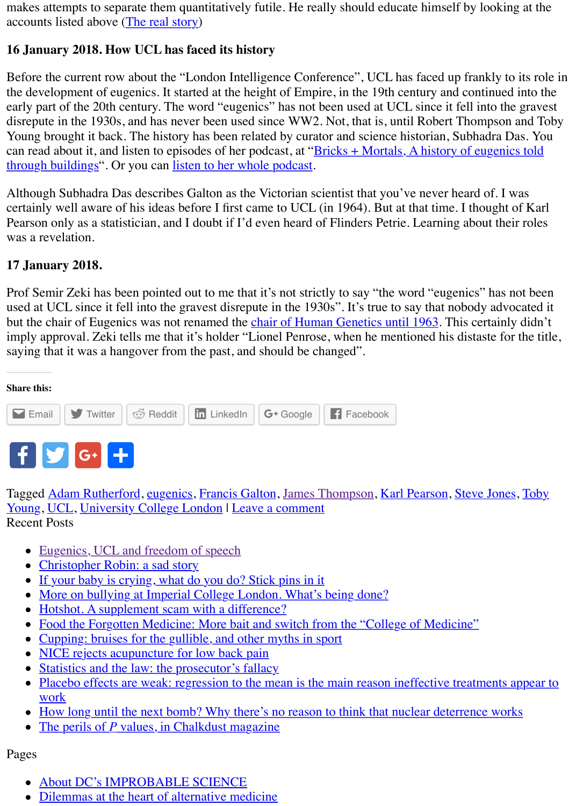through buildings". Or you can listen to her whole podcast.

Although Subhadra D[as describes Ga](#page-4-0)lton as the Victorian scientist that you've never heard of. certainly well aware of his ideas before I first came to UCL (in 1964). But at that time. I thought Pearson only as a statistician, and I doubt if I'd even heard of Flinders Petrie. Learning about t was a revelation.

#### **17 January 2018.**

Prof Semir Zeki has been pointed out to me that it's not strictly to say "the word "eugenics" has used at UCL since it fell into the gravest disrepute in the 1930s". It's true to say that nobody advocated it but the chair of Eugenics was not renamed the chair of Human Genetics until 1963. This certainly imply approval. Zeki tells me that it's holder "Lionel Penrose, when he mentioned his distaste saying that it was a hangover from the past, and should be changed".

**Share this:**



Tagged Adam Rutherford, eugenics, Francis G[alton, James Thompson, Karl Pearso](https://www.ucl.ac.uk/library/special-collections/a-z/penrose)n, Steve Jo Young, UCL, University College London | Leave a comment Recent Posts

- Eugenics, UCL and freedom of speech
- Christopher Robin: a sad story
- [If yo](http://www.dcscience.net/2018/01/14/eugenics-ucl-and-freedom-of-speech/?share=email)[ur baby is c](http://www.dcscience.net/2018/01/14/eugenics-ucl-and-freedom-of-speech/?share=twitter)[rying, what](http://www.dcscience.net/2018/01/14/eugenics-ucl-and-freedom-of-speech/?share=reddit) [do you do? S](http://www.dcscience.net/2018/01/14/eugenics-ucl-and-freedom-of-speech/?share=linkedin)[tick pins in i](http://www.dcscience.net/2018/01/14/eugenics-ucl-and-freedom-of-speech/?share=google-plus-1)[t](http://www.dcscience.net/2018/01/14/eugenics-ucl-and-freedom-of-speech/?share=facebook)
- More on bullying at Imperial College London. What's being done?
- [Hot](http://www.dcscience.net/#facebook)[shot.](http://www.dcscience.net/#twitter) [A supp](http://www.dcscience.net/#google_plus)[lement](https://www.addtoany.com/share#url=http%3A%2F%2Fwww.dcscience.net%2F2018%2F01%2F14%2Feugenics-ucl-and-freedom-of-speech%2F&title=Eugenics%2C%20UCL%20and%20freedom%20of%20speech) scam with a difference?
- Food the Forgotten Medicine: More bait and switch from the "College of Medicine"
- Cupping: bruises for the gullible, and other myths in sport
- [NICE rejects acupu](http://www.dcscience.net/tag/adam-rutherford/)[ncture for](http://www.dcscience.net/tag/eugenics/) [low back pain](http://www.dcscience.net/tag/francis-galton/)
- [Statistics and the law: the prosecutor's fallacy](http://www.dcscience.net/tag/toby-young/)
- Placebo effects are weak: regression to the mean is the main reason ineffective treatmen work
- [How long until the next bomb? Why th](http://www.dcscience.net/2018/01/14/eugenics-ucl-and-freedom-of-speech/)ere's no reason to think that nuclear deterrence w
- The perils of *P* [values, in Chal](http://www.dcscience.net/2017/11/08/christopher-robin-a-sad-story/)[kdust magazine](http://www.dcscience.net/2017/01/20/if-your-baby-is-crying-what-do-you-do-stick-pins-in-it/)  $\bullet$

Pages

- [About DC's IMPROBABLE SCIENCE](http://www.dcscience.net/2016/08/21/food-the-forgotten-medicine-more-bait-and-switch-from-the-college-of-medicine/)
- [Dilemmas at the heart of alternative medicine](http://www.dcscience.net/2016/08/10/cupping-bruises-for-the-gullible-and-other-myths-in-sport/)